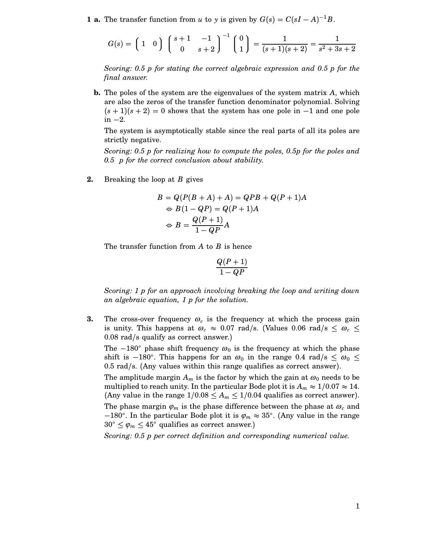**1 a.** The transfer function from *u* to *y* is given by  $G(s) = C(sI - A)^{-1}B$ .

$$
G(s) = \begin{pmatrix} 1 & 0 \end{pmatrix} \begin{pmatrix} s+1 & -1 \\ 0 & s+2 \end{pmatrix}^{-1} \begin{pmatrix} 0 \\ 1 \end{pmatrix} = \frac{1}{(s+1)(s+2)} = \frac{1}{s^2+3s+2}
$$

*Scoring: 0.5 p for stating the correct algebraic expression and 0.5 p for the final answer.*

**b.** The poles of the system are the eigenvalues of the system matrix *A*, which are also the zeros of the transfer function denominator polynomial. Solving  $(s + 1)(s + 2) = 0$  shows that the system has one pole in  $-1$  and one pole in  $-2$ .

The system is asymptotically stable since the real parts of all its poles are strictly negative.

*Scoring: 0.5 p for realizing how to compute the poles, 0.5p for the poles and 0.5 p for the correct conclusion about stability.*

**2.** Breaking the loop at *B* gives

$$
B = Q(P(B + A) + A) = QPB + Q(P + 1)A
$$
  
\n
$$
\Leftrightarrow B(1 - QP) = Q(P + 1)A
$$
  
\n
$$
\Leftrightarrow B = \frac{Q(P + 1)}{1 - QP}A
$$

The transfer function from *A* to *B* is hence

$$
\frac{Q(P+1)}{1-QP}
$$

*Scoring: 1 p for an approach involving breaking the loop and writing down an algebraic equation, 1 p for the solution.*

**3.** The cross-over frequency  $\omega_c$  is the frequency at which the process gain is unity. This happens at  $\omega_c \approx 0.07$  rad/s. (Values 0.06 rad/s  $\leq \omega_c \leq$ 0.08 rad/s qualify as correct answer.)

The  $-180^\circ$  phase shift frequency  $\omega_0$  is the frequency at which the phase shift is  $-180^\circ$ . This happens for an  $\omega_0$  in the range 0.4 rad/s  $\leq \omega_0 \leq$  $0.5$  rad/s. (Any values within this range qualifies as correct answer).

The amplitude margin  $A_m$  is the factor by which the gain at  $\omega_0$  needs to be multiplied to reach unity. In the particular Bode plot it is  $A_m \approx 1/0.07 \approx 14$ . (Any value in the range  $1/0.08 \leq A_m \leq 1/0.04$  qualifies as correct answer). The phase margin  $\varphi_m$  is the phase difference between the phase at  $\omega_c$  and  $-180^\circ$ . In the particular Bode plot it is  $\varphi_m \approx 35^\circ$ . (Any value in the range  $30^{\circ} \leq \varphi_m \leq 45^{\circ}$  qualifies as correct answer.)

*Scoring: 0.5 p per correct definition and corresponding numerical value.*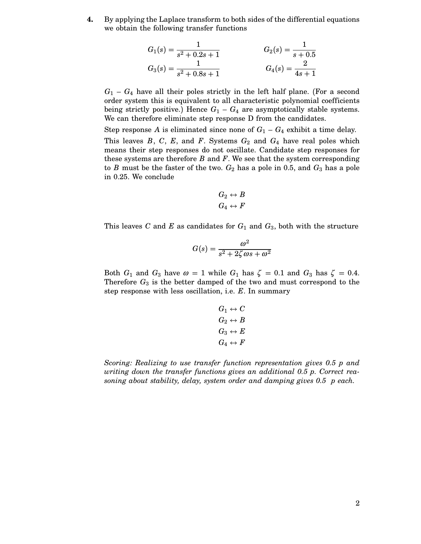**4.** By applying the Laplace transform to both sides of the differential equations we obtain the following transfer functions

$$
G_1(s) = \frac{1}{s^2 + 0.2s + 1}
$$
  
\n
$$
G_2(s) = \frac{1}{s + 0.5}
$$
  
\n
$$
G_3(s) = \frac{1}{s^2 + 0.8s + 1}
$$
  
\n
$$
G_4(s) = \frac{2}{4s + 1}
$$

 $G_1 - G_4$  have all their poles strictly in the left half plane. (For a second order system this is equivalent to all characteristic polynomial coefficients being strictly positive.) Hence  $G_1 - G_4$  are asymptotically stable systems. We can therefore eliminate step response D from the candidates.

Step response A is eliminated since none of  $G_1 - G_4$  exhibit a time delay. This leaves  $B$ ,  $C$ ,  $E$ , and  $F$ . Systems  $G_2$  and  $G_4$  have real poles which means their step responses do not oscillate. Candidate step responses for these systems are therefore *B* and *F*. We see that the system corresponding to *B* must be the faster of the two.  $G_2$  has a pole in 0.5, and  $G_3$  has a pole in 0.25. We conclude

$$
G_2 \leftrightarrow B
$$
  

$$
G_4 \leftrightarrow F
$$

This leaves *C* and *E* as candidates for  $G_1$  and  $G_3$ , both with the structure

$$
G(s) = \frac{\omega^2}{s^2 + 2\zeta\omega s + \omega^2}
$$

Both  $G_1$  and  $G_3$  have  $\omega = 1$  while  $G_1$  has  $\zeta = 0.1$  and  $G_3$  has  $\zeta = 0.4$ . Therefore  $G_3$  is the better damped of the two and must correspond to the step response with less oscillation, i.e. *E*. In summary

$$
G_1 \leftrightarrow C
$$
  
\n
$$
G_2 \leftrightarrow B
$$
  
\n
$$
G_3 \leftrightarrow E
$$
  
\n
$$
G_4 \leftrightarrow F
$$

*Scoring: Realizing to use transfer function representation gives 0.5 p and writing down the transfer functions gives an additional 0.5 p. Correct reasoning about stability, delay, system order and damping gives 0.5 p each.*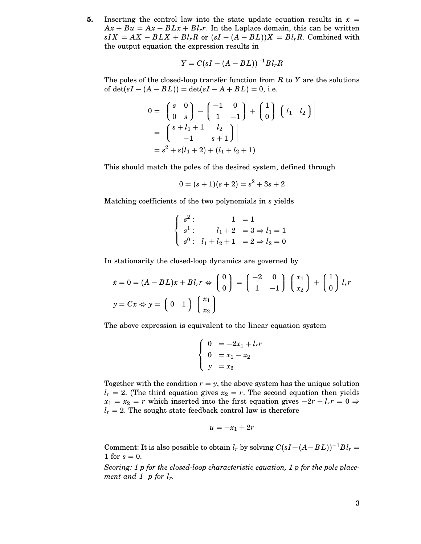**5.** Inserting the control law into the state update equation results in  $\dot{x}$  =  $Ax + Bu = Ax - BLx + Bl<sub>r</sub>r$ . In the Laplace domain, this can be written  $sIX = AX - BLX + Bl_rR$  or  $(sI - (A - BL))X = Bl_rR$ . Combined with the output equation the expression results in

$$
Y = C(sI - (A - BL))^{-1}Bl_rR
$$

The poles of the closed-loop transfer function from *R* to *Y* are the solutions of  $det(sI – (A – BL)) = det(sI – A + BL) = 0$ , i.e.

$$
0 = \left| \begin{pmatrix} s & 0 \\ 0 & s \end{pmatrix} - \begin{pmatrix} -1 & 0 \\ 1 & -1 \end{pmatrix} + \begin{pmatrix} 1 \\ 0 \end{pmatrix} \begin{pmatrix} l_1 & l_2 \end{pmatrix} \right|
$$
  
= 
$$
\left| \begin{pmatrix} s+l_1+1 & l_2 \\ -1 & s+1 \end{pmatrix} \right|
$$
  
= 
$$
s^2 + s(l_1 + 2) + (l_1 + l_2 + 1)
$$

This should match the poles of the desired system, defined through

$$
0 = (s + 1)(s + 2) = s2 + 3s + 2
$$

Matching coefficients of the two polynomials in *s* yields

$$
\begin{cases}\ns^2: & 1 = 1 \\
s^1: & l_1 + 2 = 3 \Rightarrow l_1 = 1 \\
s^0: & l_1 + l_2 + 1 = 2 \Rightarrow l_2 = 0\n\end{cases}
$$

In stationarity the closed-loop dynamics are governed by

$$
\dot{x} = 0 = (A - BL)x + Bl_r r \Leftrightarrow \begin{pmatrix} 0 \\ 0 \end{pmatrix} = \begin{pmatrix} -2 & 0 \\ 1 & -1 \end{pmatrix} \begin{pmatrix} x_1 \\ x_2 \end{pmatrix} + \begin{pmatrix} 1 \\ 0 \end{pmatrix} l_r r
$$

$$
y = Cx \Leftrightarrow y = \begin{pmatrix} 0 & 1 \end{pmatrix} \begin{pmatrix} x_1 \\ x_2 \end{pmatrix}
$$

The above expression is equivalent to the linear equation system

$$
\begin{cases}\n0 &= -2x_1 + l_r r \\
0 &= x_1 - x_2 \\
y &= x_2\n\end{cases}
$$

Together with the condition  $r = y$ , the above system has the unique solution  $l_r = 2$ . (The third equation gives  $x_2 = r$ . The second equation then yields  $x_1 = x_2 = r$  which inserted into the first equation gives  $-2r + l_r r = 0 \Rightarrow$  $l_r = 2$ . The sought state feedback control law is therefore

$$
u = -x_1 + 2r
$$

Comment: It is also possible to obtain  $l_r$  by solving  $C(sI-(A-BL))^{-1}Bl_r =$ 1 for  $s = 0$ .

*Scoring: 1 p for the closed-loop characteristic equation, 1 p for the pole placement and 1 p for lr.*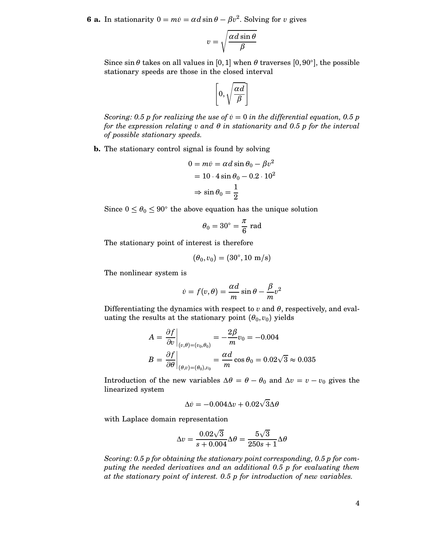**6 a.** In stationarity  $0 = m\dot{v} = \alpha d \sin \theta - \beta v^2$ . Solving for *v* gives

$$
v = \sqrt{\frac{\alpha d \sin \theta}{\beta}}
$$

Since  $\sin \theta$  takes on all values in [0, 1] when  $\theta$  traverses [0, 90°], the possible stationary speeds are those in the closed interval

$$
\left[0, \sqrt{\frac{\alpha d}{\beta}}\right]
$$

*Scoring:* 0.5 *p* for realizing the use of  $\dot{v} = 0$  in the differential equation, 0.5 *p for the expression relating v and* θ *in stationarity and 0.5 p for the interval of possible stationary speeds.*

**b.** The stationary control signal is found by solving

$$
0 = m\dot{v} = \alpha d \sin \theta_0 - \beta v^2
$$

$$
= 10 \cdot 4 \sin \theta_0 - 0.2 \cdot 10^2
$$

$$
\Rightarrow \sin \theta_0 = \frac{1}{2}
$$

Since  $0 \le \theta_0 \le 90^{\circ}$  the above equation has the unique solution

$$
\theta_0 = 30^\circ = \frac{\pi}{6} \text{ rad}
$$

The stationary point of interest is therefore

$$
(\theta_0,v_0)=(30^\circ,10\ \mathrm{m/s})
$$

The nonlinear system is

$$
\dot{v} = f(v, \theta) = \frac{\alpha d}{m} \sin \theta - \frac{\beta}{m} v^2
$$

Differentiating the dynamics with respect to  $v$  and  $\theta$ , respectively, and evaluating the results at the stationary point  $(\theta_0, v_0)$  yields

$$
A = \frac{\partial f}{\partial v}\Big|_{(v,\theta)=(v_0,\theta_0)} = -\frac{2\beta}{m}v_0 = -0.004
$$
  

$$
B = \frac{\partial f}{\partial \theta}\Big|_{(\theta,v)=(\theta_0),v_0} = \frac{\alpha d}{m}\cos\theta_0 = 0.02\sqrt{3} \approx 0.035
$$

Introduction of the new variables  $\Delta \theta = \theta - \theta_0$  and  $\Delta v = v - v_0$  gives the linearized system

$$
\Delta \dot{v} = -0.004 \Delta v + 0.02 \sqrt{3} \Delta \theta
$$

with Laplace domain representation

$$
\Delta v = \frac{0.02\sqrt{3}}{s + 0.004} \Delta \theta = \frac{5\sqrt{3}}{250s + 1} \Delta \theta
$$

*Scoring: 0.5 p for obtaining the stationary point corresponding, 0.5 p for computing the needed derivatives and an additional 0.5 p for evaluating them at the stationary point of interest. 0.5 p for introduction of new variables.*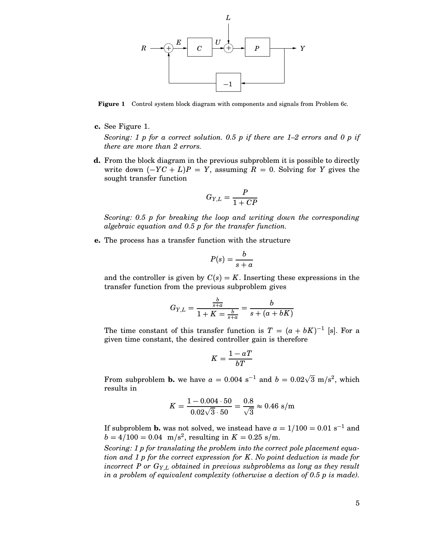

**Figure 1** Control system block diagram with components and signals from Problem 6c.

**c.** See Figure 1.

*Scoring: 1 p for a correct solution. 0.5 p if there are 1–2 errors and 0 p if there are more than 2 errors.*

**d.** From the block diagram in the previous subproblem it is possible to directly write down  $(-YC + L)P = Y$ , assuming  $R = 0$ . Solving for *Y* gives the sought transfer function

$$
G_{Y,L} = \frac{P}{1 + CP}
$$

*Scoring: 0.5 p for breaking the loop and writing down the corresponding algebraic equation and 0.5 p for the transfer function.*

**e.** The process has a transfer function with the structure

$$
P(s) = \frac{b}{s+a}
$$

and the controller is given by  $C(s) = K$ . Inserting these expressions in the transfer function from the previous subproblem gives

$$
G_{Y,L} = \frac{\frac{b}{s+a}}{1+K = \frac{b}{s+a}} = \frac{b}{s + (a+bK)}
$$

The time constant of this transfer function is  $T = (a + bK)^{-1}$  [s]. For a given time constant, the desired controller gain is therefore

$$
K=\frac{1-a\,T}{b\,T}
$$

From subproblem **b.** we have  $a = 0.004 \text{ s}^{-1}$  and  $b = 0.02\sqrt{3} \text{ m/s}^2$ , which results in

$$
K = \frac{1 - 0.004 \cdot 50}{0.02\sqrt{3} \cdot 50} = \frac{0.8}{\sqrt{3}} \approx 0.46 \text{ s/m}
$$

If subproblem **b.** was not solved, we instead have  $a = 1/100 = 0.01$  s<sup>-1</sup> and  $b = 4/100 = 0.04$  m/s<sup>2</sup>, resulting in  $K = 0.25$  s/m.

*Scoring: 1 p for translating the problem into the correct pole placement equation and 1 p for the correct expression for K. No point deduction is made for incorrect P or GY*,*<sup>L</sup> obtained in previous subproblems as long as they result in a problem of equivalent complexity (otherwise a dection of 0.5 p is made).*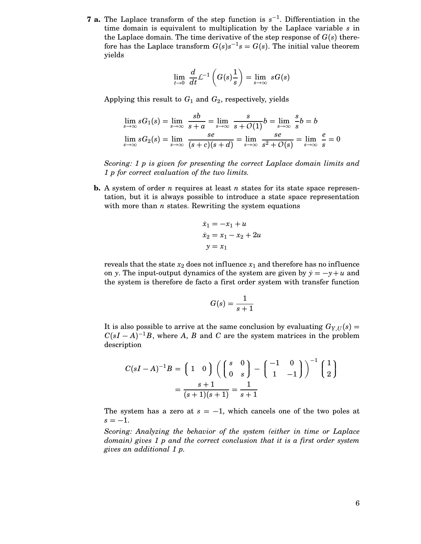**7 a.** The Laplace transform of the step function is  $s^{-1}$ . Differentiation in the time domain is equivalent to multiplication by the Laplace variable *s* in the Laplace domain. The time derivative of the step response of  $G(s)$  therefore has the Laplace transform  $G(s)s^{-1}s = G(s)$ . The initial value theorem yields

$$
\lim_{t \to 0} \frac{d}{dt} \mathcal{L}^{-1}\left(G(s)\frac{1}{s}\right) = \lim_{s \to \infty} sG(s)
$$

Applying this result to  $G_1$  and  $G_2$ , respectively, yields

$$
\lim_{s \to \infty} sG_1(s) = \lim_{s \to \infty} \frac{sb}{s+a} = \lim_{s \to \infty} \frac{s}{s+O(1)}b = \lim_{s \to \infty} \frac{s}{s}b = b
$$
  

$$
\lim_{s \to \infty} sG_2(s) = \lim_{s \to \infty} \frac{se}{(s+c)(s+d)} = \lim_{s \to \infty} \frac{se}{s^2+O(s)} = \lim_{s \to \infty} \frac{e}{s} = 0
$$

*Scoring: 1 p is given for presenting the correct Laplace domain limits and 1 p for correct evaluation of the two limits.*

**b.** A system of order *n* requires at least *n* states for its state space representation, but it is always possible to introduce a state space representation with more than *n* states. Rewriting the system equations

$$
\dot{x}_1 = -x_1 + u
$$
  
\n
$$
\dot{x}_2 = x_1 - x_2 + 2u
$$
  
\n
$$
y = x_1
$$

reveals that the state  $x_2$  does not influence  $x_1$  and therefore has no influence on *y*. The input-output dynamics of the system are given by  $\dot{y} = -y + u$  and the system is therefore de facto a first order system with transfer function

$$
G(s) = \frac{1}{s+1}
$$

It is also possible to arrive at the same conclusion by evaluating  $G_{Y,U}(s)$  =  $C(sI - A)^{-1}B$ , where *A*, *B* and *C* are the system matrices in the problem description

$$
C(sI - A)^{-1}B = \begin{pmatrix} 1 & 0 \end{pmatrix} \left( \begin{pmatrix} s & 0 \ 0 & s \end{pmatrix} - \begin{pmatrix} -1 & 0 \ 1 & -1 \end{pmatrix} \right)^{-1} \begin{pmatrix} 1 \ 2 \end{pmatrix}
$$

$$
= \frac{s+1}{(s+1)(s+1)} = \frac{1}{s+1}
$$

The system has a zero at  $s = -1$ , which cancels one of the two poles at  $s = -1$ .

*Scoring: Analyzing the behavior of the system (either in time or Laplace domain) gives 1 p and the correct conclusion that it is a first order system gives an additional 1 p.*